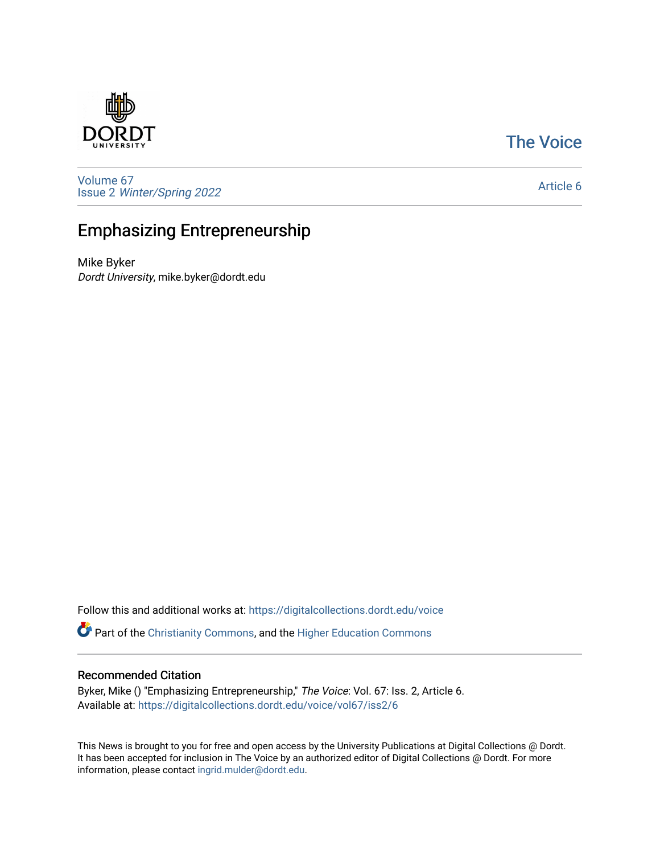### [The Voice](https://digitalcollections.dordt.edu/voice)

[Volume 67](https://digitalcollections.dordt.edu/voice/vol67) Issue 2 [Winter/Spring 2022](https://digitalcollections.dordt.edu/voice/vol67/iss2) 

[Article 6](https://digitalcollections.dordt.edu/voice/vol67/iss2/6) 

## Emphasizing Entrepreneurship

Mike Byker Dordt University, mike.byker@dordt.edu

Follow this and additional works at: [https://digitalcollections.dordt.edu/voice](https://digitalcollections.dordt.edu/voice?utm_source=digitalcollections.dordt.edu%2Fvoice%2Fvol67%2Fiss2%2F6&utm_medium=PDF&utm_campaign=PDFCoverPages) 

Part of the [Christianity Commons,](http://network.bepress.com/hgg/discipline/1181?utm_source=digitalcollections.dordt.edu%2Fvoice%2Fvol67%2Fiss2%2F6&utm_medium=PDF&utm_campaign=PDFCoverPages) and the [Higher Education Commons](http://network.bepress.com/hgg/discipline/1245?utm_source=digitalcollections.dordt.edu%2Fvoice%2Fvol67%2Fiss2%2F6&utm_medium=PDF&utm_campaign=PDFCoverPages) 

#### Recommended Citation

Byker, Mike () "Emphasizing Entrepreneurship," The Voice: Vol. 67: Iss. 2, Article 6. Available at: [https://digitalcollections.dordt.edu/voice/vol67/iss2/6](https://digitalcollections.dordt.edu/voice/vol67/iss2/6?utm_source=digitalcollections.dordt.edu%2Fvoice%2Fvol67%2Fiss2%2F6&utm_medium=PDF&utm_campaign=PDFCoverPages)

This News is brought to you for free and open access by the University Publications at Digital Collections @ Dordt. It has been accepted for inclusion in The Voice by an authorized editor of Digital Collections @ Dordt. For more information, please contact [ingrid.mulder@dordt.edu.](mailto:ingrid.mulder@dordt.edu)